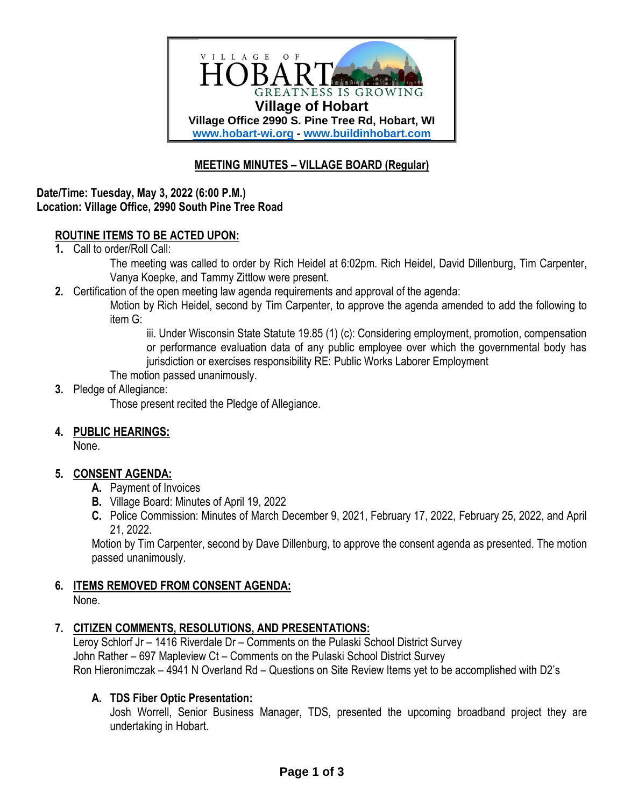

# **MEETING MINUTES – VILLAGE BOARD (Regular)**

#### **Date/Time: Tuesday, May 3, 2022 (6:00 P.M.) Location: Village Office, 2990 South Pine Tree Road**

# **ROUTINE ITEMS TO BE ACTED UPON:**

**1.** Call to order/Roll Call:

The meeting was called to order by Rich Heidel at 6:02pm. Rich Heidel, David Dillenburg, Tim Carpenter, Vanya Koepke, and Tammy Zittlow were present.

**2.** Certification of the open meeting law agenda requirements and approval of the agenda:

Motion by Rich Heidel, second by Tim Carpenter, to approve the agenda amended to add the following to item G:

iii. Under Wisconsin State Statute 19.85 (1) (c): Considering employment, promotion, compensation or performance evaluation data of any public employee over which the governmental body has jurisdiction or exercises responsibility RE: Public Works Laborer Employment

The motion passed unanimously.

#### **3.** Pledge of Allegiance:

Those present recited the Pledge of Allegiance.

#### **4. PUBLIC HEARINGS:**

None.

#### **5. CONSENT AGENDA:**

- **A.** Payment of Invoices
- **B.** Village Board: Minutes of April 19, 2022
- **C.** Police Commission: Minutes of March December 9, 2021, February 17, 2022, February 25, 2022, and April 21, 2022.

Motion by Tim Carpenter, second by Dave Dillenburg, to approve the consent agenda as presented. The motion passed unanimously.

#### **6. ITEMS REMOVED FROM CONSENT AGENDA:**

None.

#### **7. CITIZEN COMMENTS, RESOLUTIONS, AND PRESENTATIONS:**

Leroy Schlorf Jr – 1416 Riverdale Dr – Comments on the Pulaski School District Survey John Rather – 697 Mapleview Ct – Comments on the Pulaski School District Survey Ron Hieronimczak – 4941 N Overland Rd – Questions on Site Review Items yet to be accomplished with D2's

#### **A. TDS Fiber Optic Presentation:**

Josh Worrell, Senior Business Manager, TDS, presented the upcoming broadband project they are undertaking in Hobart.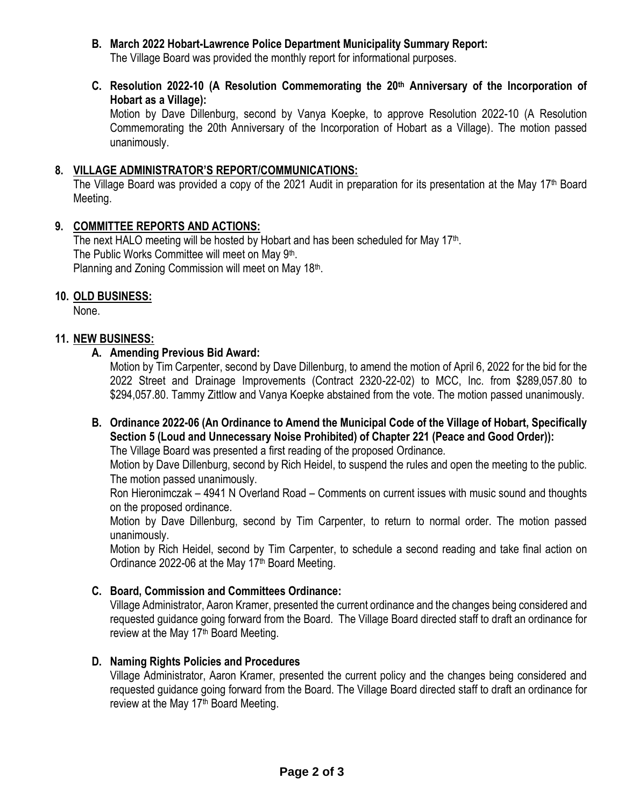- **B. March 2022 Hobart-Lawrence Police Department Municipality Summary Report:** The Village Board was provided the monthly report for informational purposes.
- **C. Resolution 2022-10 (A Resolution Commemorating the 20th Anniversary of the Incorporation of Hobart as a Village):**

Motion by Dave Dillenburg, second by Vanya Koepke, to approve Resolution 2022-10 (A Resolution Commemorating the 20th Anniversary of the Incorporation of Hobart as a Village). The motion passed unanimously.

#### **8. VILLAGE ADMINISTRATOR'S REPORT/COMMUNICATIONS:**

The Village Board was provided a copy of the 2021 Audit in preparation for its presentation at the May 17<sup>th</sup> Board Meeting.

# **9. COMMITTEE REPORTS AND ACTIONS:**

The next HALO meeting will be hosted by Hobart and has been scheduled for May  $17<sup>th</sup>$ . The Public Works Committee will meet on May 9<sup>th</sup>. Planning and Zoning Commission will meet on May 18<sup>th</sup>.

# **10. OLD BUSINESS:**

None.

#### **11. NEW BUSINESS:**

# **A. Amending Previous Bid Award:**

Motion by Tim Carpenter, second by Dave Dillenburg, to amend the motion of April 6, 2022 for the bid for the 2022 Street and Drainage Improvements (Contract 2320-22-02) to MCC, Inc. from \$289,057.80 to \$294,057.80. Tammy Zittlow and Vanya Koepke abstained from the vote. The motion passed unanimously.

# **B. Ordinance 2022-06 (An Ordinance to Amend the Municipal Code of the Village of Hobart, Specifically Section 5 (Loud and Unnecessary Noise Prohibited) of Chapter 221 (Peace and Good Order)):**

The Village Board was presented a first reading of the proposed Ordinance.

Motion by Dave Dillenburg, second by Rich Heidel, to suspend the rules and open the meeting to the public. The motion passed unanimously.

Ron Hieronimczak – 4941 N Overland Road – Comments on current issues with music sound and thoughts on the proposed ordinance.

Motion by Dave Dillenburg, second by Tim Carpenter, to return to normal order. The motion passed unanimously.

Motion by Rich Heidel, second by Tim Carpenter, to schedule a second reading and take final action on Ordinance 2022-06 at the May 17<sup>th</sup> Board Meeting.

# **C. Board, Commission and Committees Ordinance:**

Village Administrator, Aaron Kramer, presented the current ordinance and the changes being considered and requested guidance going forward from the Board. The Village Board directed staff to draft an ordinance for review at the May 17<sup>th</sup> Board Meeting.

#### **D. Naming Rights Policies and Procedures**

Village Administrator, Aaron Kramer, presented the current policy and the changes being considered and requested guidance going forward from the Board. The Village Board directed staff to draft an ordinance for review at the May 17<sup>th</sup> Board Meeting.